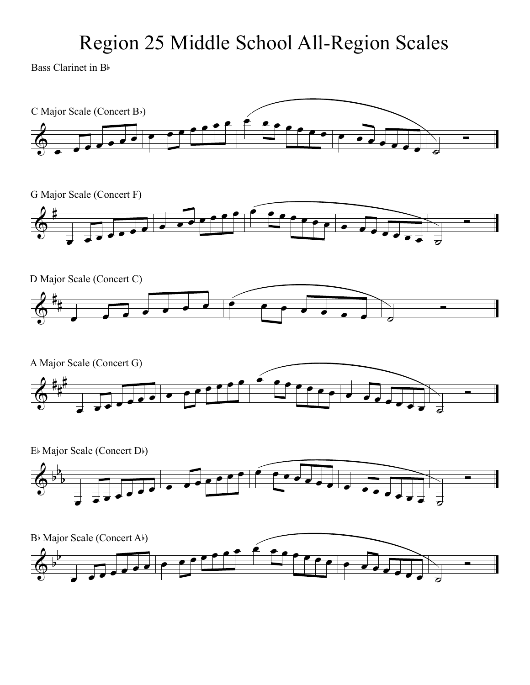## Region 25 Middle School All-Region Scales

Bass Clarinet in B